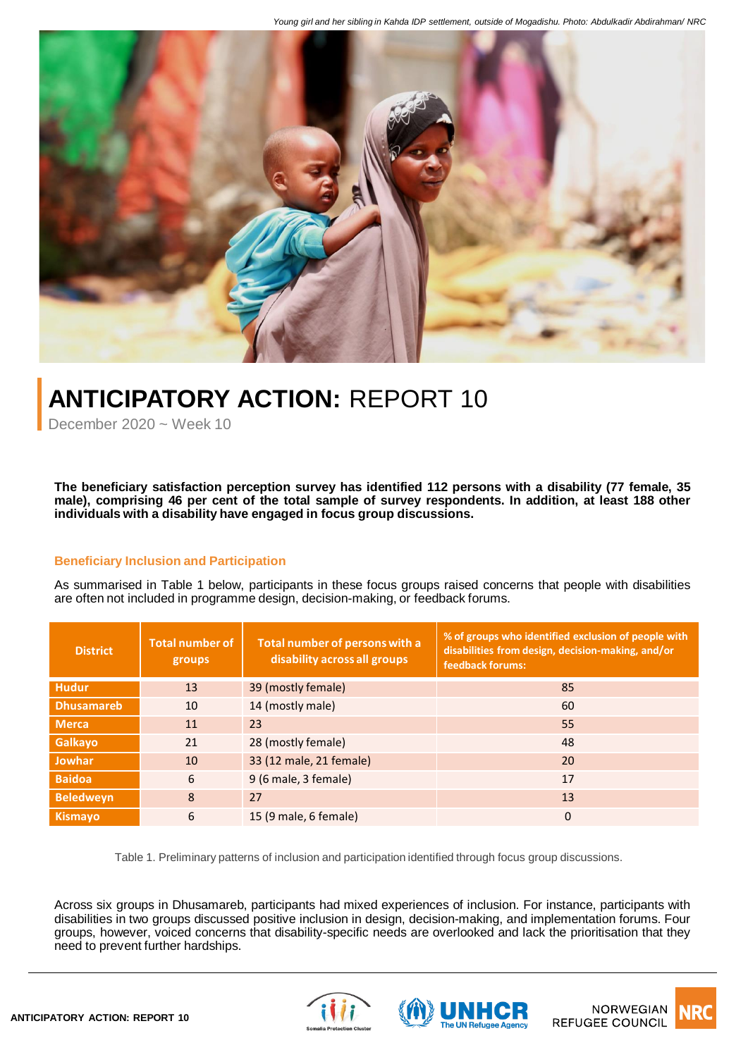

## **ANTICIPATORY ACTION:** REPORT 10

December  $2020 \approx$  Week 10

**The beneficiary satisfaction perception survey has identified 112 persons with a disability (77 female, 35** male), comprising 46 per cent of the total sample of survey respondents. In addition, at least 188 other **individuals with a disability have engaged in focus group discussions.**

## **Beneficiary Inclusion and Participation**

As summarised in Table 1 below, participants in these focus groups raised concerns that people with disabilities are often not included in programme design, decision-making, or feedback forums.

| <b>District</b>   | <b>Total number of</b><br>groups | Total number of persons with a<br>disability across all groups | % of groups who identified exclusion of people with<br>disabilities from design, decision-making, and/or<br>feedback forums: |
|-------------------|----------------------------------|----------------------------------------------------------------|------------------------------------------------------------------------------------------------------------------------------|
| <b>Hudur</b>      | 13                               | 39 (mostly female)                                             | 85                                                                                                                           |
| <b>Dhusamareb</b> | 10                               | 14 (mostly male)                                               | 60                                                                                                                           |
| <b>Merca</b>      | 11                               | 23                                                             | 55                                                                                                                           |
| <b>Galkayo</b>    | 21                               | 28 (mostly female)                                             | 48                                                                                                                           |
| <b>Jowhar</b>     | 10                               | 33 (12 male, 21 female)                                        | 20                                                                                                                           |
| <b>Baidoa</b>     | 6                                | 9 (6 male, 3 female)                                           | 17                                                                                                                           |
| <b>Beledweyn</b>  | 8                                | 27                                                             | 13                                                                                                                           |
| <b>Kismayo</b>    | 6                                | 15 (9 male, 6 female)                                          | $\mathbf{0}$                                                                                                                 |

Table 1. Preliminary patterns of inclusion and participation identified through focus group discussions.

Across six groups in Dhusamareb, participants had mixed experiences of inclusion. For instance, participants with disabilities in two groups discussed positive inclusion in design, decision-making, and implementation forums. Four groups, however, voiced concerns that disability-specific needs are overlooked and lack the prioritisation that they need to prevent further hardships.





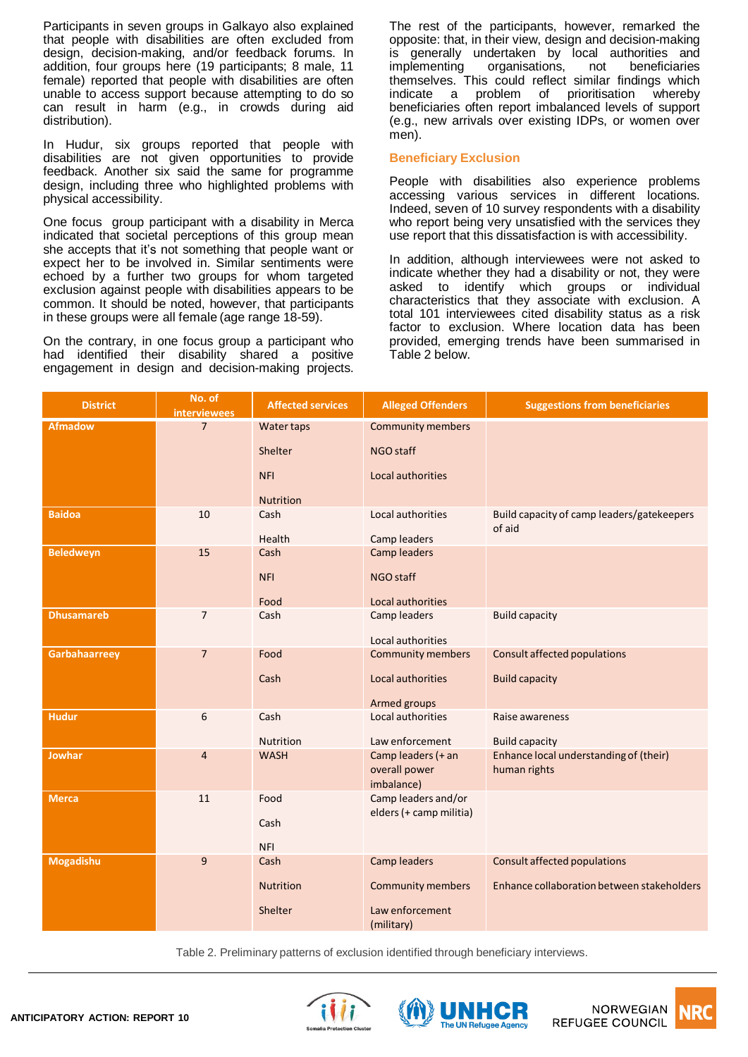Participants in seven groups in Galkayo also explained that people with disabilities are often excluded from design, decision-making, and/or feedback forums. In addition, four groups here (19 participants; 8 male, 11 female) reported that people with disabilities are often unable to access support because attempting to do so can result in harm (e.g., in crowds during aid distribution).

In Hudur, six groups reported that people with disabilities are not given opportunities to provide feedback. Another six said the same for programme design, including three who highlighted problems with physical accessibility.

One focus group participant with a disability in Merca indicated that societal perceptions of this group mean she accepts that it's not something that people want or expect her to be involved in. Similar sentiments were echoed by a further two groups for whom targeted exclusion against people with disabilities appears to be common. It should be noted, however, that participants in these groups were all female (age range 18-59).

On the contrary, in one focus group a participant who had identified their disability shared a positive engagement in design and decision-making projects.

The rest of the participants, however, remarked the opposite: that, in their view, design and decision-making is generally undertaken by local authorities and implementing organisations, not beneficiaries themselves. This could reflect similar findings which indicate a problem of prioritisation whereby beneficiaries often report imbalanced levels of support (e.g., new arrivals over existing IDPs, or women over men).

## **Beneficiary Exclusion**

People with disabilities also experience problems accessing various services in different locations. Indeed, seven of 10 survey respondents with a disability who report being very unsatisfied with the services they use report that this dissatisfaction is with accessibility.

In addition, although interviewees were not asked to indicate whether they had a disability or not, they were asked to identify which groups or individual characteristics that they associate with exclusion. A total 101 interviewees cited disability status as a risk factor to exclusion. Where location data has been provided, emerging trends have been summarised in Table 2 below.

| <b>District</b>   | No. of<br><b>interviewees</b> | <b>Affected services</b> | <b>Alleged Offenders</b>          | <b>Suggestions from beneficiaries</b>                |
|-------------------|-------------------------------|--------------------------|-----------------------------------|------------------------------------------------------|
| <b>Afmadow</b>    | $\overline{7}$                | Water taps               | <b>Community members</b>          |                                                      |
|                   |                               | Shelter                  | NGO staff                         |                                                      |
|                   |                               | <b>NFI</b>               | Local authorities                 |                                                      |
|                   |                               |                          |                                   |                                                      |
|                   |                               | <b>Nutrition</b>         |                                   |                                                      |
| <b>Baidoa</b>     | 10                            | Cash                     | Local authorities                 | Build capacity of camp leaders/gatekeepers<br>of aid |
|                   |                               | Health                   | Camp leaders                      |                                                      |
| <b>Beledweyn</b>  | 15                            | Cash                     | Camp leaders                      |                                                      |
|                   |                               | <b>NFI</b>               | NGO staff                         |                                                      |
|                   |                               |                          |                                   |                                                      |
|                   |                               | Food                     | Local authorities                 |                                                      |
| <b>Dhusamareb</b> | $\overline{7}$                | Cash                     | Camp leaders                      | <b>Build capacity</b>                                |
|                   |                               |                          | Local authorities                 |                                                      |
| Garbahaarreey     | $\overline{7}$                | Food                     | <b>Community members</b>          | <b>Consult affected populations</b>                  |
|                   |                               | Cash                     | Local authorities                 | <b>Build capacity</b>                                |
|                   |                               |                          |                                   |                                                      |
| <b>Hudur</b>      | 6                             | Cash                     | Armed groups<br>Local authorities | Raise awareness                                      |
|                   |                               |                          |                                   |                                                      |
|                   |                               | <b>Nutrition</b>         | Law enforcement                   | <b>Build capacity</b>                                |
| <b>Jowhar</b>     | $\overline{4}$                | <b>WASH</b>              | Camp leaders (+ an                | Enhance local understanding of (their)               |
|                   |                               |                          | overall power<br>imbalance)       | human rights                                         |
| <b>Merca</b>      | 11                            | Food                     | Camp leaders and/or               |                                                      |
|                   |                               |                          | elders (+ camp militia)           |                                                      |
|                   |                               | Cash                     |                                   |                                                      |
|                   |                               | <b>NFI</b>               |                                   |                                                      |
| <b>Mogadishu</b>  | 9                             | Cash                     | Camp leaders                      | <b>Consult affected populations</b>                  |
|                   |                               | <b>Nutrition</b>         | <b>Community members</b>          | Enhance collaboration between stakeholders           |
|                   |                               |                          |                                   |                                                      |
|                   |                               | Shelter                  | Law enforcement                   |                                                      |
|                   |                               |                          | (military)                        |                                                      |

Table 2. Preliminary patterns of exclusion identified through beneficiary interviews.





**NORWEGIAN REFUGEE COUNCIL**